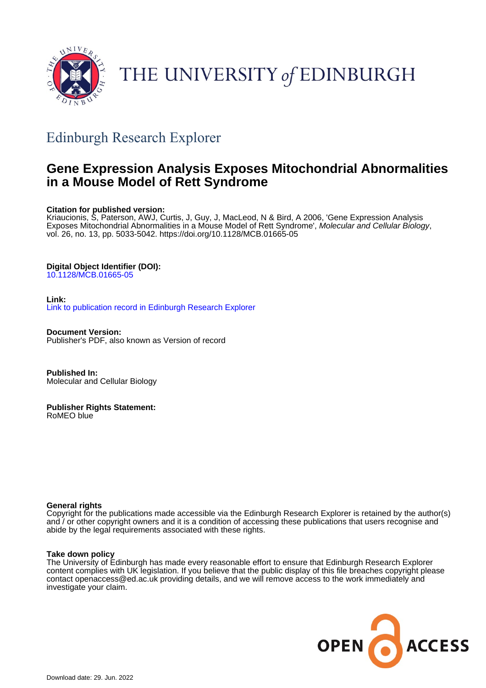

# THE UNIVERSITY of EDINBURGH

## Edinburgh Research Explorer

## **Gene Expression Analysis Exposes Mitochondrial Abnormalities in a Mouse Model of Rett Syndrome**

## **Citation for published version:**

Kriaucionis, S, Paterson, AWJ, Curtis, J, Guy, J, MacLeod, N & Bird, A 2006, 'Gene Expression Analysis Exposes Mitochondrial Abnormalities in a Mouse Model of Rett Syndrome', Molecular and Cellular Biology, vol. 26, no. 13, pp. 5033-5042.<https://doi.org/10.1128/MCB.01665-05>

## **Digital Object Identifier (DOI):**

[10.1128/MCB.01665-05](https://doi.org/10.1128/MCB.01665-05)

### **Link:** [Link to publication record in Edinburgh Research Explorer](https://www.research.ed.ac.uk/en/publications/2210d637-0ab1-4e8f-b7e5-4f81a56e2c56)

**Document Version:** Publisher's PDF, also known as Version of record

**Published In:** Molecular and Cellular Biology

**Publisher Rights Statement:** RoMEO blue

## **General rights**

Copyright for the publications made accessible via the Edinburgh Research Explorer is retained by the author(s) and / or other copyright owners and it is a condition of accessing these publications that users recognise and abide by the legal requirements associated with these rights.

## **Take down policy**

The University of Edinburgh has made every reasonable effort to ensure that Edinburgh Research Explorer content complies with UK legislation. If you believe that the public display of this file breaches copyright please contact openaccess@ed.ac.uk providing details, and we will remove access to the work immediately and investigate your claim.

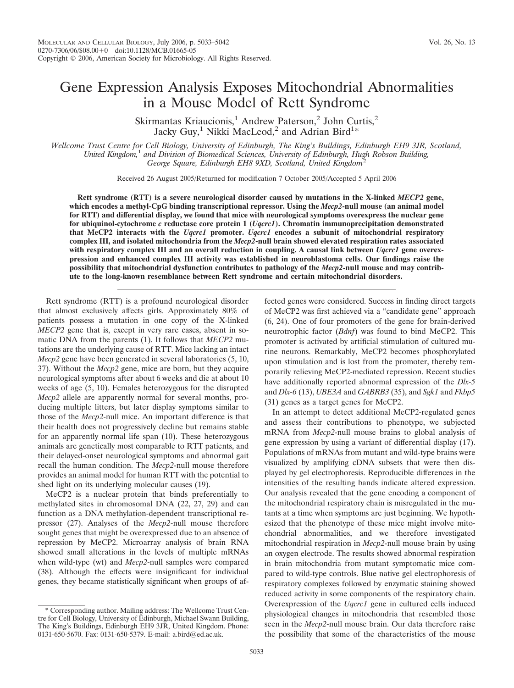Skirmantas Kriaucionis,<sup>1</sup> Andrew Paterson,<sup>2</sup> John Curtis,<sup>2</sup> Jacky Guy,<sup>1</sup> Nikki MacLeod,<sup>2</sup> and Adrian Bird<sup>1</sup>\*

*Wellcome Trust Centre for Cell Biology, University of Edinburgh, The King's Buildings, Edinburgh EH9 3JR, Scotland, United Kingdom,*<sup>1</sup> *and Division of Biomedical Sciences, University of Edinburgh, Hugh Robson Building,* George Square, Edinburgh EH8 9XD, Scotland, United Kingdom<sup>2</sup>

Received 26 August 2005/Returned for modification 7 October 2005/Accepted 5 April 2006

**Rett syndrome (RTT) is a severe neurological disorder caused by mutations in the X-linked** *MECP2* **gene, which encodes a methyl-CpG binding transcriptional repressor. Using the** *Mecp2***-null mouse (an animal model for RTT) and differential display, we found that mice with neurological symptoms overexpress the nuclear gene for ubiquinol-cytochrome** *c* **reductase core protein 1 (***Uqcrc1***). Chromatin immunoprecipitation demonstrated that MeCP2 interacts with the** *Uqcrc1* **promoter.** *Uqcrc1* **encodes a subunit of mitochondrial respiratory complex III, and isolated mitochondria from the** *Mecp2***-null brain showed elevated respiration rates associated with respiratory complex III and an overall reduction in coupling. A causal link between** *Uqcrc1* **gene overexpression and enhanced complex III activity was established in neuroblastoma cells. Our findings raise the possibility that mitochondrial dysfunction contributes to pathology of the** *Mecp2***-null mouse and may contribute to the long-known resemblance between Rett syndrome and certain mitochondrial disorders.**

Rett syndrome (RTT) is a profound neurological disorder that almost exclusively affects girls. Approximately 80% of patients possess a mutation in one copy of the X-linked *MECP2* gene that is, except in very rare cases, absent in somatic DNA from the parents (1). It follows that *MECP2* mutations are the underlying cause of RTT. Mice lacking an intact *Mecp2* gene have been generated in several laboratories (5, 10, 37). Without the *Mecp2* gene, mice are born, but they acquire neurological symptoms after about 6 weeks and die at about 10 weeks of age (5, 10). Females heterozygous for the disrupted *Mecp2* allele are apparently normal for several months, producing multiple litters, but later display symptoms similar to those of the *Mecp2*-null mice. An important difference is that their health does not progressively decline but remains stable for an apparently normal life span (10). These heterozygous animals are genetically most comparable to RTT patients, and their delayed-onset neurological symptoms and abnormal gait recall the human condition. The *Mecp2*-null mouse therefore provides an animal model for human RTT with the potential to shed light on its underlying molecular causes (19).

MeCP2 is a nuclear protein that binds preferentially to methylated sites in chromosomal DNA (22, 27, 29) and can function as a DNA methylation-dependent transcriptional repressor (27). Analyses of the *Mecp2*-null mouse therefore sought genes that might be overexpressed due to an absence of repression by MeCP2. Microarray analysis of brain RNA showed small alterations in the levels of multiple mRNAs when wild-type (wt) and *Mecp2*-null samples were compared (38). Although the effects were insignificant for individual genes, they became statistically significant when groups of affected genes were considered. Success in finding direct targets of MeCP2 was first achieved via a "candidate gene" approach (6, 24). One of four promoters of the gene for brain-derived neurotrophic factor (*Bdnf*) was found to bind MeCP2. This promoter is activated by artificial stimulation of cultured murine neurons. Remarkably, MeCP2 becomes phosphorylated upon stimulation and is lost from the promoter, thereby temporarily relieving MeCP2-mediated repression. Recent studies have additionally reported abnormal expression of the *Dlx-5* and *Dlx-6* (13), *UBE3A* and *GABRB3* (35), and *Sgk1* and *Fkbp5* (31) genes as a target genes for MeCP2.

In an attempt to detect additional MeCP2-regulated genes and assess their contributions to phenotype, we subjected mRNA from *Mecp2*-null mouse brains to global analysis of gene expression by using a variant of differential display (17). Populations of mRNAs from mutant and wild-type brains were visualized by amplifying cDNA subsets that were then displayed by gel electrophoresis. Reproducible differences in the intensities of the resulting bands indicate altered expression. Our analysis revealed that the gene encoding a component of the mitochondrial respiratory chain is misregulated in the mutants at a time when symptoms are just beginning. We hypothesized that the phenotype of these mice might involve mitochondrial abnormalities, and we therefore investigated mitochondrial respiration in *Mecp2*-null mouse brain by using an oxygen electrode. The results showed abnormal respiration in brain mitochondria from mutant symptomatic mice compared to wild-type controls. Blue native gel electrophoresis of respiratory complexes followed by enzymatic staining showed reduced activity in some components of the respiratory chain. Overexpression of the *Uqcrc1* gene in cultured cells induced physiological changes in mitochondria that resembled those seen in the *Mecp2*-null mouse brain. Our data therefore raise the possibility that some of the characteristics of the mouse

<sup>\*</sup> Corresponding author. Mailing address: The Wellcome Trust Centre for Cell Biology, University of Edinburgh, Michael Swann Building, The King's Buildings, Edinburgh EH9 3JR, United Kingdom. Phone: 0131-650-5670. Fax: 0131-650-5379. E-mail: a.bird@ed.ac.uk.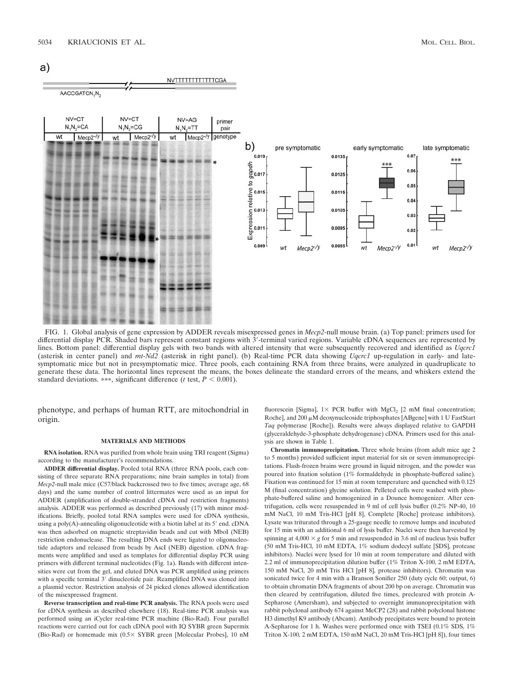



FIG. 1. Global analysis of gene expression by ADDER reveals misexpressed genes in *Mecp2*-null mouse brain. (a) Top panel: primers used for differential display PCR. Shaded bars represent constant regions with 3'-terminal varied regions. Variable cDNA sequences are represented by lines. Bottom panel: differential display gels with two bands with altered intensity that were subsequently recovered and identified as *Uqcrc1* (asterisk in center panel) and *mt-Nd2* (asterisk in right panel). (b) Real-time PCR data showing *Uqcrc1* up-regulation in early- and latesymptomatic mice but not in presymptomatic mice. Three pools, each containing RNA from three brains, were analyzed in quadruplicate to generate these data. The horizontal lines represent the means, the boxes delineate the standard errors of the means, and whiskers extend the standard deviations. \*\*\*, significant difference ( $t$  test,  $P < 0.001$ ).

phenotype, and perhaps of human RTT, are mitochondrial in origin.

#### **MATERIALS AND METHODS**

**RNA isolation.** RNA was purified from whole brain using TRI reagent (Sigma) according to the manufacturer's recommendations.

**ADDER differential display.** Pooled total RNA (three RNA pools, each consisting of three separate RNA preparations; nine brain samples in total) from *Mecp2*-null male mice (C57/black backcrossed two to five times; average age, 68 days) and the same number of control littermates were used as an input for ADDER (amplification of double-stranded cDNA end restriction fragments) analysis. ADDER was performed as described previously (17) with minor modifications. Briefly, pooled total RNA samples were used for cDNA synthesis, using a poly(A)-annealing oligonucleotide with a biotin label at its 5' end. cDNA was then adsorbed on magnetic streptavidin beads and cut with MboI (NEB) restriction endonuclease. The resulting DNA ends were ligated to oligonucleotide adaptors and released from beads by AscI (NEB) digestion. cDNA fragments were amplified and used as templates for differential display PCR using primers with different terminal nucleotides (Fig. 1a). Bands with different intensities were cut from the gel, and eluted DNA was PCR amplified using primers with a specific terminal 3' dinucleotide pair. Reamplified DNA was cloned into a plasmid vector. Restriction analysis of 24 picked clones allowed identification of the misexpressed fragment.

**Reverse transcription and real-time PCR analysis.** The RNA pools were used for cDNA synthesis as described elsewhere (18). Real-time PCR analysis was performed using an iCycler real-time PCR machine (Bio-Rad). Four parallel reactions were carried out for each cDNA pool with IQ SYBR green Supermix (Bio-Rad) or homemade mix ( $0.5 \times$  SYBR green [Molecular Probes], 10 nM

fluorescein [Sigma],  $1 \times$  PCR buffer with MgCl<sub>2</sub> [2 mM final concentration; Roche], and 200  $\mu$ M deoxynucleoside triphosphates [ABgene] with 1 U FastStart *Taq* polymerase [Roche]). Results were always displayed relative to GAPDH (glyceraldehyde-3-phosphate dehydrogenase) cDNA. Primers used for this analysis are shown in Table 1.

**Chromatin immunoprecipitation.** Three whole brains (from adult mice age 2 to 5 months) provided sufficient input material for six or seven immunoprecipitations. Flash-frozen brains were ground in liquid nitrogen, and the powder was poured into fixation solution (1% formaldehyde in phosphate-buffered saline). Fixation was continued for 15 min at room temperature and quenched with 0.125 M (final concentration) glycine solution. Pelleted cells were washed with phosphate-buffered saline and homogenized in a Dounce homogenizer. After centrifugation, cells were resuspended in 9 ml of cell lysis buffer (0.2% NP-40, 10 mM NaCl, 10 mM Tris-HCl [pH 8], Complete [Roche] protease inhibitors). Lysate was triturated through a 25-gauge needle to remove lumps and incubated for 15 min with an additional 6 ml of lysis buffer. Nuclei were then harvested by spinning at  $4,000 \times g$  for 5 min and resuspended in 3.6 ml of nucleus lysis buffer (50 mM Tris-HCl, 10 mM EDTA, 1% sodium dodecyl sulfate [SDS], protease inhibitors). Nuclei were lysed for 10 min at room temperature and diluted with 2.2 ml of immunoprecipitation dilution buffer (1% Triton X-100, 2 mM EDTA, 150 mM NaCl, 20 mM Tris HCl [pH 8], protease inhibitors). Chromatin was sonicated twice for 4 min with a Branson Sonifier 250 (duty cycle 60; output, 6) to obtain chromatin DNA fragments of about 200 bp on average. Chromatin was then cleared by centrifugation, diluted five times, precleared with protein A-Sepharose (Amersham), and subjected to overnight immunoprecipitation with rabbit polyclonal antibody 674 against MeCP2 (28) and rabbit polyclonal histone H3 dimethyl K9 antibody (Abcam). Antibody precipitates were bound to protein A-Sepharose for 1 h. Washes were performed once with TSEI (0.1% SDS, 1% Triton X-100, 2 mM EDTA, 150 mM NaCl, 20 mM Tris-HCl [pH 8]), four times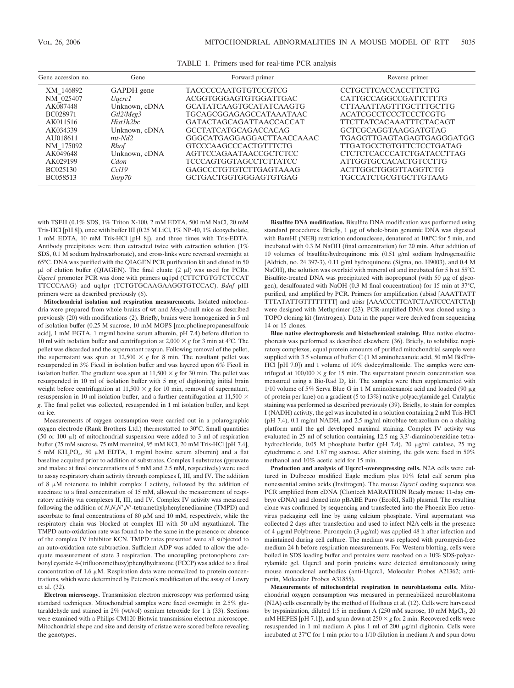| Gene accession no. | Gene          | Forward primer                 | Reverse primer                   |  |  |  |  |  |
|--------------------|---------------|--------------------------------|----------------------------------|--|--|--|--|--|
| XM 146892          | GAPDH gene    | <b>TACCCCCAATGTGTCCGTCG</b>    | <b>CCTGCTTCACCACCTTCTTG</b>      |  |  |  |  |  |
| NM 025407          | Uqcrc1        | ACGGTGGGAGTGTGGATTGAC          | CATTGCCAGGCCGATTCTTTG            |  |  |  |  |  |
| AK087448           | Unknown, cDNA | <b>GCATATCAAGTGCATATCAAGTG</b> | <b>CTTAAATTAGTTTGCTTTGCTTG</b>   |  |  |  |  |  |
| BC028971           | Gtl2/Meg3     | <b>TGCAGCGGAGAGCCATAAATAAC</b> | ACATCGCCTCCCTCCCTCGTG            |  |  |  |  |  |
| AK011516           | Hist1h2bc     | <b>GATACTAGCAGATTAACCACCAT</b> | <b>TTCTTATCACAAATTTCTACAGT</b>   |  |  |  |  |  |
| AK034339           | Unknown, cDNA | <b>GCCTATCATGCAGACCACAG</b>    | GCTCGCAGGTAAGGATGTAG             |  |  |  |  |  |
| AU018611           | $mt$ - $Nd2$  | GGGCATGAGGAGGACTTAACCAAAC      | TGAGGTTGAGTAGAGTGAGGGATGG        |  |  |  |  |  |
| NM 175092          | <b>Rhof</b>   | <b>GTCCCAAGCCCACTGTTTCTG</b>   | <b>TTGATGCCTGTGTTCTCCTGATAG</b>  |  |  |  |  |  |
| AK049648           | Unknown, cDNA | <b>AGTTCCAGAATAACCGCTCTCC</b>  | <b>CTCTCTCACCCATCTGATACCTTAG</b> |  |  |  |  |  |
| AK029199           | Cdon          | <b>TCCCAGTGGTAGCCTCTTATCC</b>  | <b>ATTGGTGCCACACTGTCCTTG</b>     |  |  |  |  |  |
| BC025130           | Ccl19         | GAGCCCTGTGTCTTGAGTAAAG         | ACTTGGCTGGGTTAGGTCTG             |  |  |  |  |  |
| BC058513           | Snrp70        | GCTGACTGGTGGGAGTGTGAG          | <b>TGCCATCTGCGTGCTTGTAAG</b>     |  |  |  |  |  |

TABLE 1. Primers used for real-time PCR analysis

with TSEII (0.1% SDS, 1% Triton X-100, 2 mM EDTA, 500 mM NaCl, 20 mM Tris-HCl [pH 8]), once with buffer III (0.25 M LiCl, 1% NP-40, 1% deoxycholate, 1 mM EDTA, 10 mM Tris-HCl [pH 8]), and three times with Tris-EDTA. Antibody precipitates were then extracted twice with extraction solution (1% SDS, 0.1 M sodium hydrocarbonate), and cross-links were reversed overnight at 65°C. DNA was purified with the QIAGEN PCR purification kit and eluted in 50  $\mu$ l of elution buffer (QIAGEN). The final eluate (2  $\mu$ l) was used for PCRs. *Uqcrc1* promoter PCR was done with primers uq1pd (CTTCTGTGTCTCCAT TTCCCAAG) and uq1pr (TCTGTGCAAGAAGGTGTCCAC). *Bdnf* pIII primers were as described previously (6).

**Mitochondrial isolation and respiration measurements.** Isolated mitochondria were prepared from whole brains of wt and *Mecp2*-null mice as described previously (20) with modifications (2). Briefly, brains were homogenized in 5 ml of isolation buffer (0.25 M sucrose, 10 mM MOPS [morpholinepropanesulfonic acid], 1 mM EGTA, 1 mg/ml bovine serum albumin, pH 7.4) before dilution to 10 ml with isolation buffer and centrifugation at  $2,000 \times g$  for 3 min at 4°C. The pellet was discarded and the supernatant respun. Following removal of the pellet, the supernatant was spun at  $12,500 \times g$  for 8 min. The resultant pellet was resuspended in 3% Ficoll in isolation buffer and was layered upon 6% Ficoll in isolation buffer. The gradient was spun at  $11,500 \times g$  for 30 min. The pellet was resuspended in 10 ml of isolation buffer with 5 mg of digitonin/g initial brain weight before centrifugation at  $11,500 \times g$  for 10 min, removal of supernatant, resuspension in 10 ml isolation buffer, and a further centrifugation at 11,500  $\times$ *g*. The final pellet was collected, resuspended in 1 ml isolation buffer, and kept on ice.

Measurements of oxygen consumption were carried out in a polarographic oxygen electrode (Rank Brothers Ltd.) thermostatted to 30°C. Small quantities (50 or 100  $\mu$ l) of mitochondrial suspension were added to 3 ml of respiration buffer (25 mM sucrose, 75 mM mannitol, 95 mM KCl, 20 mM Tris-HCl [pH 7.4], 5 mM  $KH_2PO_4$ , 50  $\mu$ M EDTA, 1 mg/ml bovine serum albumin) and a flat baseline acquired prior to addition of substrates. Complex I substrates (pyruvate and malate at final concentrations of 5 mM and 2.5 mM, respectively) were used to assay respiratory chain activity through complexes I, III, and IV. The addition of 8  $\mu$ M rotenone to inhibit complex I activity, followed by the addition of succinate to a final concentration of 15 mM, allowed the measurement of respiratory activity via complexes II, III, and IV. Complex IV activity was measured following the addition of *N,N,N',N'*-tetramethylphenylenediamine (TMPD) and ascorbate to final concentrations of 80  $\mu$ M and 10 mM, respectively, while the respiratory chain was blocked at complex III with 50 nM myxathiazol. The TMPD auto-oxidation rate was found to be the same in the presence or absence of the complex IV inhibitor KCN. TMPD rates presented were all subjected to an auto-oxidation rate subtraction. Sufficient ADP was added to allow the adequate measurement of state 3 respiration. The uncoupling protonophore carbonyl cyanide 4-(trifluoromethoxy)phenylhydrazone (FCCP) was added to a final concentration of 1.6  $\mu$ M. Respiration data were normalized to protein concentrations, which were determined by Peterson's modification of the assay of Lowry et al. (32).

**Electron microscopy.** Transmission electron microscopy was performed using standard techniques. Mitochondrial samples were fixed overnight in 2.5% glutaraldehyde and stained in 2% (wt/vol) osmium tetroxide for 1 h (33). Sections were examined with a Philips CM120 Biotwin transmission electron microscope. Mitochondrial shape and size and density of cristae were scored before revealing the genotypes.

**Bisulfite DNA modification.** Bisulfite DNA modification was performed using standard procedures. Briefly,  $1 \mu g$  of whole-brain genomic DNA was digested with BamHI (NEB) restriction endonuclease, denatured at 100°C for 5 min, and incubated with 0.3 M NaOH (final concentration) for 20 min. After addition of 10 volumes of bisulfite/hydroquinone mix (0.51 g/ml sodium hydrogensulfite [Aldrich, no. 24 397-3), 0.11 g/ml hydroquinone (Sigma, no. H9003), and 0.4 M NaOH), the solution was overlaid with mineral oil and incubated for 5 h at 55°C. Bisulfite-treated DNA was precipitated with isopropanol (with 50  $\mu$ g of glycogen), desulfonated with NaOH (0.3 M final concentration) for 15 min at 37°C, purified, and amplified by PCR. Primers for amplification (ubisd [AAATTATT TTTATATTGTTTTTTTT] and ubisr [AAACCCTTCATCTAATCCCATCTA]) were designed with Methprimer (23). PCR-amplified DNA was cloned using a TOPO cloning kit (Invitrogen). Data in the paper were derived from sequencing 14 or 15 clones.

**Blue native electrophoresis and histochemical staining.** Blue native electrophoresis was performed as described elsewhere (36). Briefly, to solubilize respiratory complexes, equal protein amounts of purified mitochondrial sample were supplied with 3.5 volumes of buffer C (1 M aminohexanoic acid, 50 mM BisTris-HCl [pH 7.0]) and 1 volume of 10% dodecylmaltoside. The samples were centrifuged at  $100,000 \times g$  for 15 min. The supernatant protein concentration was measured using a Bio-Rad  $D<sub>c</sub>$  kit. The samples were then supplemented with 1/10 volume of 5% Serva Blue G in 1 M aminohexanoic acid and loaded (90  $\mu$ g) of protein per lane) on a gradient (5 to 13%) native polyacrylamide gel. Catalytic staining was performed as described previously (39). Briefly, to stain for complex I (NADH) activity, the gel was incubated in a solution containing 2 mM Tris-HCl (pH 7.4), 0.1 mg/ml NADH, and 2.5 mg/ml nitroblue tetrazolium on a shaking platform until the gel developed maximal staining. Complex IV activity was evaluated in 25 ml of solution containing 12.5 mg 3,3'-diaminobenzidine tetrahydrochloride, 0.05 M phosphate buffer (pH 7.4), 20 µg/ml catalase, 25 mg cytochrome *c*, and 1.87 mg sucrose. After staining, the gels were fixed in 50% methanol and 10% acetic acid for 15 min.

**Production and analysis of Uqcrc1-overexpressing cells.** N2A cells were cultured in Dulbecco modified Eagle medium plus 10% fetal calf serum plus nonessential amino acids (Invitrogen). The mouse *Uqcrc1* coding sequence was PCR amplified from cDNA (Clontech MARATHON Ready mouse 11-day embryo cDNA) and cloned into pBABE Puro (EcoRI, SalI) plasmid. The resulting clone was confirmed by sequencing and transfected into the Phoenix Eco retrovirus packaging cell line by using calcium phosphate. Viral supernatant was collected 2 days after transfection and used to infect N2A cells in the presence of 4  $\mu$ g/ml Polybrene. Puromycin (3  $\mu$ g/ml) was applied 48 h after infection and maintained during cell culture. The medium was replaced with puromycin-free medium 24 h before respiration measurements. For Western blotting, cells were boiled in SDS loading buffer and proteins were resolved on a 10% SDS-polyacrylamide gel. Uqcrc1 and porin proteins were detected simultaneously using mouse monoclonal antibodies (anti-Uqcrc1, Molecular Probes A21362; antiporin, Molecular Probes A31855).

**Measurements of mitochondrial respiration in neuroblastoma cells.** Mitochondrial oxygen consumption was measured in permeabilized neuroblastoma (N2A) cells essentially by the method of Hofhaus et al. (12). Cells were harvested by trypsinization, diluted 1:5 in medium A  $(250 \text{ mM sucrose}, 10 \text{ mM MgCl}_2, 20$ mM HEPES [pH 7.1]), and spun down at  $250 \times g$  for 2 min. Recovered cells were resuspended in 1 ml medium A plus 1 ml of 200 μg/ml digitonin. Cells were incubated at 37°C for 1 min prior to a 1/10 dilution in medium A and spun down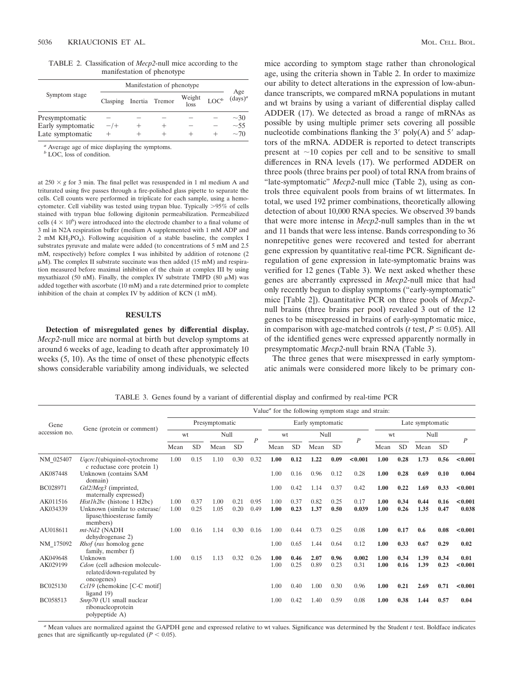TABLE 2. Classification of *Mecp2*-null mice according to the manifestation of phenotype

|                                       | Manifestation of phenotype |  |                |                |         |                        |  |  |  |  |  |
|---------------------------------------|----------------------------|--|----------------|----------------|---------|------------------------|--|--|--|--|--|
| Symptom stage                         | Clasping                   |  | Inertia Tremor | Weight<br>loss | $LOC^b$ | Age<br>$(days)^a$      |  |  |  |  |  |
| Presymptomatic                        |                            |  |                |                |         | $~1$ 30                |  |  |  |  |  |
| Early symptomatic<br>Late symptomatic | $-$ /+                     |  |                | $\!$           |         | $\sim$ 55<br>$\sim$ 70 |  |  |  |  |  |

Average age of mice displaying the symptoms.

*b* LOC, loss of condition.

at  $250 \times g$  for 3 min. The final pellet was resuspended in 1 ml medium A and triturated using five passes through a fire-polished glass pipette to separate the cells. Cell counts were performed in triplicate for each sample, using a hemocytometer. Cell viability was tested using trypan blue. Typically >95% of cells stained with trypan blue following digitonin permeabilization. Permeabilized cells  $(4 \times 10^6)$  were introduced into the electrode chamber to a final volume of 3 ml in N2A respiration buffer (medium A supplemented with 1 mM ADP and 2 mM KH2PO4). Following acquisition of a stable baseline, the complex I substrates pyruvate and malate were added (to concentrations of 5 mM and 2.5 mM, respectively) before complex I was inhibited by addition of rotenone (2  $\mu$ M). The complex II substrate succinate was then added (15 mM) and respiration measured before maximal inhibition of the chain at complex III by using myxathiazol (50 nM). Finally, the complex IV substrate TMPD (80  $\mu$ M) was added together with ascorbate (10 mM) and a rate determined prior to complete inhibition of the chain at complex IV by addition of KCN (1 mM).

#### **RESULTS**

**Detection of misregulated genes by differential display.** *Mecp2*-null mice are normal at birth but develop symptoms at around 6 weeks of age, leading to death after approximately 10 weeks (5, 10). As the time of onset of these phenotypic effects shows considerable variability among individuals, we selected

mice according to symptom stage rather than chronological age, using the criteria shown in Table 2. In order to maximize our ability to detect alterations in the expression of low-abundance transcripts, we compared mRNA populations in mutant and wt brains by using a variant of differential display called ADDER (17). We detected as broad a range of mRNAs as possible by using multiple primer sets covering all possible nucleotide combinations flanking the  $3'$  poly(A) and  $5'$  adaptors of the mRNA. ADDER is reported to detect transcripts present at  $\sim$ 10 copies per cell and to be sensitive to small differences in RNA levels (17). We performed ADDER on three pools (three brains per pool) of total RNA from brains of "late-symptomatic" *Mecp2*-null mice (Table 2), using as controls three equivalent pools from brains of wt littermates. In total, we used 192 primer combinations, theoretically allowing detection of about 10,000 RNA species. We observed 39 bands that were more intense in *Mecp2*-null samples than in the wt and 11 bands that were less intense. Bands corresponding to 36 nonrepetitive genes were recovered and tested for aberrant gene expression by quantitative real-time PCR. Significant deregulation of gene expression in late-symptomatic brains was verified for 12 genes (Table 3). We next asked whether these genes are aberrantly expressed in *Mecp2*-null mice that had only recently begun to display symptoms ("early-symptomatic" mice [Table 2]). Quantitative PCR on three pools of *Mecp2* null brains (three brains per pool) revealed 3 out of the 12 genes to be misexpressed in brains of early-symptomatic mice, in comparison with age-matched controls ( $t$  test,  $P \le 0.05$ ). All of the identified genes were expressed apparently normally in presymptomatic *Mecp2*-null brain RNA (Table 3).

The three genes that were misexpressed in early symptomatic animals were considered more likely to be primary con-

TABLE 3. Genes found by a variant of differential display and confirmed by real-time PCR

|                       | Gene (protein or comment)                                                | Value $\alpha$ for the following symptom stage and strain: |           |      |           |                   |      |           |      |                  |         |      |           |      |           |                  |
|-----------------------|--------------------------------------------------------------------------|------------------------------------------------------------|-----------|------|-----------|-------------------|------|-----------|------|------------------|---------|------|-----------|------|-----------|------------------|
| Gene<br>accession no. |                                                                          | Presymptomatic                                             |           |      |           | Early symptomatic |      |           |      | Late symptomatic |         |      |           |      |           |                  |
|                       |                                                                          | wt                                                         |           |      | Null      |                   | wt   |           | Null |                  |         | wt   |           | Null |           |                  |
|                       |                                                                          | Mean                                                       | <b>SD</b> | Mean | <b>SD</b> | $\boldsymbol{P}$  | Mean | <b>SD</b> | Mean | <b>SD</b>        | P       | Mean | <b>SD</b> | Mean | <b>SD</b> | $\boldsymbol{P}$ |
| NM 025407             | Uqcrc1(ubiquinol-cytochrome<br>$c$ reductase core protein 1)             | 1.00                                                       | 0.15      | 1.10 | 0.30      | 0.32              | 1.00 | 0.12      | 1.22 | 0.09             | < 0.001 | 1.00 | 0.28      | 1.73 | 0.56      | < 0.001          |
| AK087448              | Unknown (contains SAM<br>domain)                                         |                                                            |           |      |           |                   | 1.00 | 0.16      | 0.96 | 0.12             | 0.28    | 1.00 | 0.28      | 0.69 | 0.10      | 0.004            |
| BC028971              | Gtl2/Meg3 (imprinted,<br>maternally expressed)                           |                                                            |           |      |           |                   | 1.00 | 0.42      | 1.14 | 0.37             | 0.42    | 1.00 | 0.22      | 1.69 | 0.33      | < 0.001          |
| AK011516              | Hist1h2bc (histone 1 H2bc)                                               | 1.00                                                       | 0.37      | 1.00 | 0.21      | 0.95              | 1.00 | 0.37      | 0.82 | 0.25             | 0.17    | 1.00 | 0.34      | 0.44 | 0.16      | < 0.001          |
| AK034339              | Unknown (similar to esterase/<br>lipase/thioesterase family<br>members)  | 1.00                                                       | 0.25      | 1.05 | 0.20      | 0.49              | 1.00 | 0.23      | 1.37 | 0.50             | 0.039   | 1.00 | 0.26      | 1.35 | 0.47      | 0.038            |
| AU018611              | mt-Nd2 (NADH<br>dehydrogenase 2)                                         | 1.00                                                       | 0.16      | 1.14 | 0.30      | 0.16              | 1.00 | 0.44      | 0.73 | 0.25             | 0.08    | 1.00 | 0.17      | 0.6  | 0.08      | < 0.001          |
| NM 175092             | <i>Rhof (ras homolog gene</i> )<br>family, member f)                     |                                                            |           |      |           |                   | 1.00 | 0.65      | 1.44 | 0.64             | 0.12    | 1.00 | 0.33      | 0.67 | 0.29      | 0.02             |
| AK049648              | Unknown                                                                  | 1.00                                                       | 0.15      | 1.13 | 0.32      | 0.26              | 1.00 | 0.46      | 2.07 | 0.96             | 0.002   | 1.00 | 0.34      | 1.39 | 0.34      | 0.01             |
| AK029199              | Cdon (cell adhesion molecule-<br>related/down-regulated by<br>oncogenes) |                                                            |           |      |           |                   | 1.00 | 0.25      | 0.89 | 0.23             | 0.31    | 1.00 | 0.16      | 1.39 | 0.23      | < 0.001          |
| BC025130              | Ccl19 (chemokine [C-C motif]<br>ligand $19$ )                            |                                                            |           |      |           |                   | 1.00 | 0.40      | 1.00 | 0.30             | 0.96    | 1.00 | 0.21      | 2.69 | 0.71      | < 0.001          |
| BC058513              | $Snrp70$ (U1 small nuclear<br>ribonucleoprotein<br>polypeptide A)        |                                                            |           |      |           |                   | 1.00 | 0.42      | 1.40 | 0.59             | 0.08    | 1.00 | 0.38      | 1.44 | 0.57      | 0.04             |

*<sup>a</sup>* Mean values are normalized against the GAPDH gene and expressed relative to wt values. Significance was determined by the Student *t* test. Boldface indicates genes that are significantly up-regulated ( $P < 0.05$ ).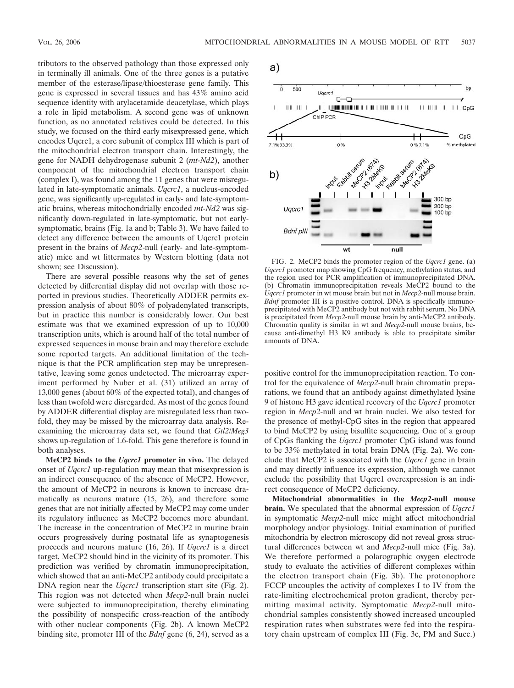tributors to the observed pathology than those expressed only in terminally ill animals. One of the three genes is a putative member of the esterase/lipase/thioesterase gene family. This gene is expressed in several tissues and has 43% amino acid sequence identity with arylacetamide deacetylase, which plays a role in lipid metabolism. A second gene was of unknown function, as no annotated relatives could be detected. In this study, we focused on the third early misexpressed gene, which encodes Uqcrc1, a core subunit of complex III which is part of the mitochondrial electron transport chain. Interestingly, the gene for NADH dehydrogenase subunit 2 (*mt-Nd2*), another component of the mitochondrial electron transport chain (complex I), was found among the 11 genes that were misregulated in late-symptomatic animals. *Uqcrc1*, a nucleus-encoded gene, was significantly up-regulated in early- and late-symptomatic brains, whereas mitochondrially encoded *mt-Nd2* was significantly down-regulated in late-symptomatic, but not earlysymptomatic, brains (Fig. 1a and b; Table 3). We have failed to detect any difference between the amounts of Uqcrc1 protein present in the brains of *Mecp2*-null (early- and late-symptomatic) mice and wt littermates by Western blotting (data not shown; see Discussion).

There are several possible reasons why the set of genes detected by differential display did not overlap with those reported in previous studies. Theoretically ADDER permits expression analysis of about 80% of polyadenylated transcripts, but in practice this number is considerably lower. Our best estimate was that we examined expression of up to 10,000 transcription units, which is around half of the total number of expressed sequences in mouse brain and may therefore exclude some reported targets. An additional limitation of the technique is that the PCR amplification step may be unrepresentative, leaving some genes undetected. The microarray experiment performed by Nuber et al. (31) utilized an array of 13,000 genes (about 60% of the expected total), and changes of less than twofold were disregarded. As most of the genes found by ADDER differential display are misregulated less than twofold, they may be missed by the microarray data analysis. Reexamining the microarray data set, we found that *Gtl2/Meg3* shows up-regulation of 1.6-fold. This gene therefore is found in both analyses.

**MeCP2 binds to the** *Uqcrc1* **promoter in vivo.** The delayed onset of *Uqcrc1* up-regulation may mean that misexpression is an indirect consequence of the absence of MeCP2. However, the amount of MeCP2 in neurons is known to increase dramatically as neurons mature (15, 26), and therefore some genes that are not initially affected by MeCP2 may come under its regulatory influence as MeCP2 becomes more abundant. The increase in the concentration of MeCP2 in murine brain occurs progressively during postnatal life as synaptogenesis proceeds and neurons mature (16, 26). If *Uqcrc1* is a direct target, MeCP2 should bind in the vicinity of its promoter. This prediction was verified by chromatin immunoprecipitation, which showed that an anti-MeCP2 antibody could precipitate a DNA region near the *Uqcrc1* transcription start site (Fig. 2). This region was not detected when *Mecp2*-null brain nuclei were subjected to immunoprecipitation, thereby eliminating the possibility of nonspecific cross-reaction of the antibody with other nuclear components (Fig. 2b). A known MeCP2 binding site, promoter III of the *Bdnf* gene (6, 24), served as a

a)



FIG. 2. MeCP2 binds the promoter region of the *Uqcrc1* gene. (a) *Uqcrc1* promoter map showing CpG frequency, methylation status, and the region used for PCR amplification of immunoprecipitated DNA. (b) Chromatin immunoprecipitation reveals MeCP2 bound to the *Uqcrc1* promoter in wt mouse brain but not in *Mecp2*-null mouse brain. *Bdnf* promoter III is a positive control. DNA is specifically immunoprecipitated with MeCP2 antibody but not with rabbit serum. No DNA is precipitated from *Mecp2*-null mouse brain by anti-MeCP2 antibody. Chromatin quality is similar in wt and *Mecp2*-null mouse brains, because anti-dimethyl H3 K9 antibody is able to precipitate similar amounts of DNA.

positive control for the immunoprecipitation reaction. To control for the equivalence of *Mecp2*-null brain chromatin preparations, we found that an antibody against dimethylated lysine 9 of histone H3 gave identical recovery of the *Uqcrc1* promoter region in *Mecp2*-null and wt brain nuclei. We also tested for the presence of methyl-CpG sites in the region that appeared to bind MeCP2 by using bisulfite sequencing. One of a group of CpGs flanking the *Uqcrc1* promoter CpG island was found to be 33% methylated in total brain DNA (Fig. 2a). We conclude that MeCP2 is associated with the *Uqcrc1* gene in brain and may directly influence its expression, although we cannot exclude the possibility that Uqcrc1 overexpression is an indirect consequence of MeCP2 deficiency.

**Mitochondrial abnormalities in the** *Mecp2***-null mouse brain.** We speculated that the abnormal expression of *Uqcrc1* in symptomatic *Mecp2*-null mice might affect mitochondrial morphology and/or physiology. Initial examination of purified mitochondria by electron microscopy did not reveal gross structural differences between wt and *Mecp2*-null mice (Fig. 3a). We therefore performed a polarographic oxygen electrode study to evaluate the activities of different complexes within the electron transport chain (Fig. 3b). The protonophore FCCP uncouples the activity of complexes I to IV from the rate-limiting electrochemical proton gradient, thereby permitting maximal activity. Symptomatic *Mecp2*-null mitochondrial samples consistently showed increased uncoupled respiration rates when substrates were fed into the respiratory chain upstream of complex III (Fig. 3c, PM and Succ.)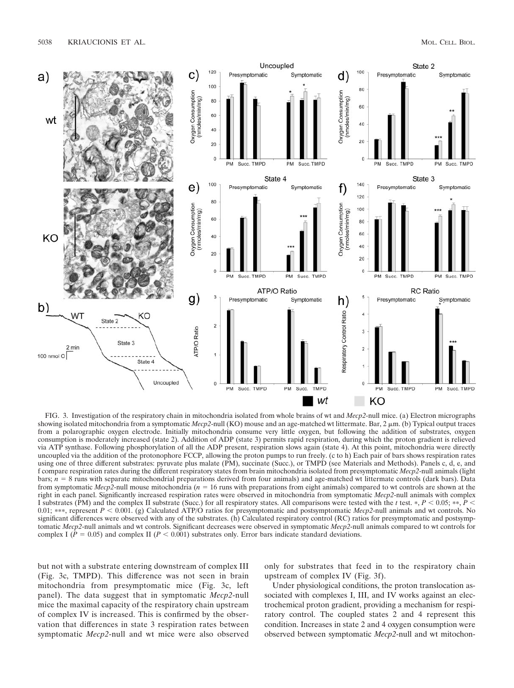

FIG. 3. Investigation of the respiratory chain in mitochondria isolated from whole brains of wt and *Mecp2*-null mice. (a) Electron micrographs showing isolated mitochondria from a symptomatic *Mecp2*-null (KO) mouse and an age-matched wt littermate. Bar, 2  $\mu$ m. (b) Typical output traces from a polarographic oxygen electrode. Initially mitochondria consume very little oxygen, but following the addition of substrates, oxygen consumption is moderately increased (state 2). Addition of ADP (state 3) permits rapid respiration, during which the proton gradient is relieved via ATP synthase. Following phosphorylation of all the ADP present, respiration slows again (state 4). At this point, mitochondria were directly uncoupled via the addition of the protonophore FCCP, allowing the proton pumps to run freely. (c to h) Each pair of bars shows respiration rates using one of three different substrates: pyruvate plus malate (PM), succinate (Succ.), or TMPD (see Materials and Methods). Panels c, d, e, and f compare respiration rates during the different respiratory states from brain mitochondria isolated from presymptomatic *Mecp2*-null animals (light bars;  $n = 8$  runs with separate mitochondrial preparations derived from four animals) and age-matched wt littermate controls (dark bars). Data from symptomatic *Mecp2*-null mouse mitochondria (*n* 16 runs with preparations from eight animals) compared to wt controls are shown at the right in each panel. Significantly increased respiration rates were observed in mitochondria from symptomatic *Mecp2*-null animals with complex I substrates (PM) and the complex II substrate (Succ.) for all respiratory states. All comparisons were tested with the *t* test.  $*, P < 0.05; **$ ,  $P <$ 0.01; \*\*\*, represent  $P < 0.001$ . (g) Calculated ATP/O ratios for presymptomatic and postsymptomatic *Mecp2*-null animals and wt controls. No significant differences were observed with any of the substrates. (h) Calculated respiratory control (RC) ratios for presymptomatic and postsymptomatic *Mecp2*-null animals and wt controls. Significant decreases were observed in symptomatic *Mecp2*-null animals compared to wt controls for complex I ( $P = 0.05$ ) and complex II ( $P < 0.001$ ) substrates only. Error bars indicate standard deviations.

but not with a substrate entering downstream of complex III (Fig. 3c, TMPD). This difference was not seen in brain mitochondria from presymptomatic mice (Fig. 3c, left panel). The data suggest that in symptomatic *Mecp2*-null mice the maximal capacity of the respiratory chain upstream of complex IV is increased. This is confirmed by the observation that differences in state 3 respiration rates between symptomatic *Mecp2*-null and wt mice were also observed

only for substrates that feed in to the respiratory chain upstream of complex IV (Fig. 3f).

Under physiological conditions, the proton translocation associated with complexes I, III, and IV works against an electrochemical proton gradient, providing a mechanism for respiratory control. The coupled states 2 and 4 represent this condition. Increases in state 2 and 4 oxygen consumption were observed between symptomatic *Mecp2*-null and wt mitochon-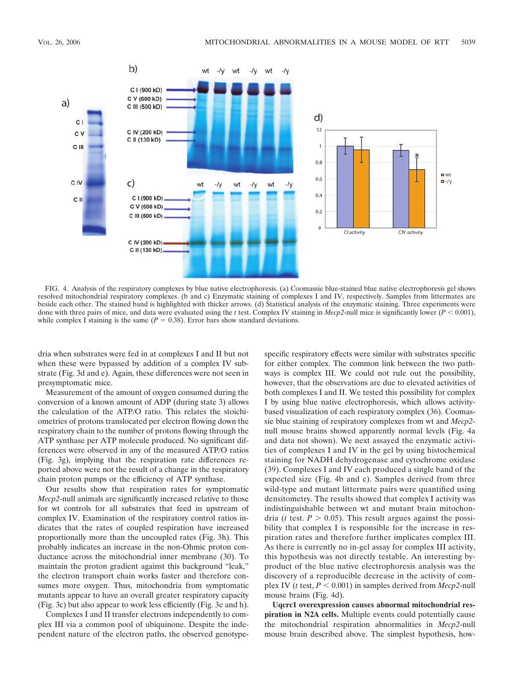

FIG. 4. Analysis of the respiratory complexes by blue native electrophoresis. (a) Coomassie blue-stained blue native electrophoresis gel shows resolved mitochondrial respiratory complexes. (b and c) Enzymatic staining of complexes I and IV, respectively. Samples from littermates are beside each other. The stained band is highlighted with thicker arrows. (d) Statistical analysis of the enzymatic staining. Three experiments were done with three pairs of mice, and data were evaluated using the *t* test. Complex IV staining in *Mecp2*-null mice is significantly lower ( $P < 0.001$ ), while complex I staining is the same  $(P = 0.38)$ . Error bars show standard deviations.

dria when substrates were fed in at complexes I and II but not when these were bypassed by addition of a complex IV substrate (Fig. 3d and e). Again, these differences were not seen in presymptomatic mice.

Measurement of the amount of oxygen consumed during the conversion of a known amount of ADP (during state 3) allows the calculation of the ATP/O ratio. This relates the stoichiometries of protons translocated per electron flowing down the respiratory chain to the number of protons flowing through the ATP synthase per ATP molecule produced. No significant differences were observed in any of the measured ATP/O ratios (Fig. 3g), implying that the respiration rate differences reported above were not the result of a change in the respiratory chain proton pumps or the efficiency of ATP synthase.

Our results show that respiration rates for symptomatic *Mecp2*-null animals are significantly increased relative to those for wt controls for all substrates that feed in upstream of complex IV. Examination of the respiratory control ratios indicates that the rates of coupled respiration have increased proportionally more than the uncoupled rates (Fig. 3h). This probably indicates an increase in the non-Ohmic proton conductance across the mitochondrial inner membrane (30). To maintain the proton gradient against this background "leak," the electron transport chain works faster and therefore consumes more oxygen. Thus, mitochondria from symptomatic mutants appear to have an overall greater respiratory capacity (Fig. 3c) but also appear to work less efficiently (Fig. 3e and h).

Complexes I and II transfer electrons independently to complex III via a common pool of ubiquinone. Despite the independent nature of the electron paths, the observed genotypespecific respiratory effects were similar with substrates specific for either complex. The common link between the two pathways is complex III. We could not rule out the possibility, however, that the observations are due to elevated activities of both complexes I and II. We tested this possibility for complex I by using blue native electrophoresis, which allows activitybased visualization of each respiratory complex (36). Coomassie blue staining of respiratory complexes from wt and *Mecp2* null mouse brains showed apparently normal levels (Fig. 4a and data not shown). We next assayed the enzymatic activities of complexes I and IV in the gel by using histochemical staining for NADH dehydrogenase and cytochrome oxidase (39). Complexes I and IV each produced a single band of the expected size (Fig. 4b and c). Samples derived from three wild-type and mutant littermate pairs were quantified using densitometry. The results showed that complex I activity was indistinguishable between wt and mutant brain mitochondria (*t* test.  $P > 0.05$ ). This result argues against the possibility that complex I is responsible for the increase in respiration rates and therefore further implicates complex III. As there is currently no in-gel assay for complex III activity, this hypothesis was not directly testable. An interesting byproduct of the blue native electrophoresis analysis was the discovery of a reproducible decrease in the activity of complex IV ( $t$  test,  $P < 0.001$ ) in samples derived from *Mecp2*-null mouse brains (Fig. 4d).

**Uqcrc1 overexpression causes abnormal mitochondrial respiration in N2A cells.** Multiple events could potentially cause the mitochondrial respiration abnormalities in *Mecp2*-null mouse brain described above. The simplest hypothesis, how-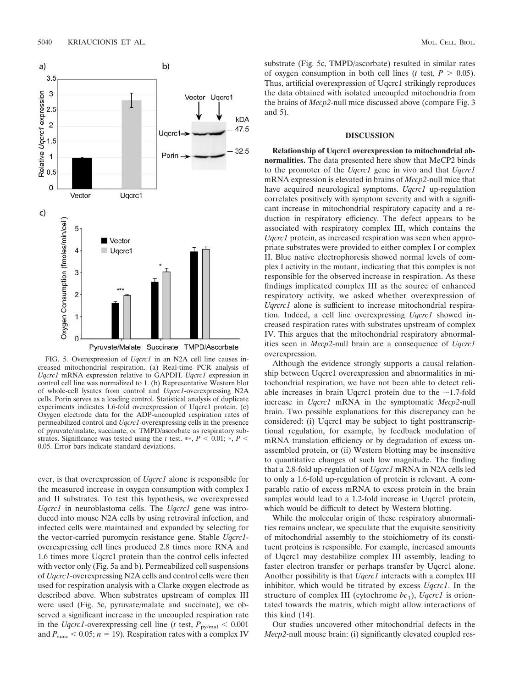

FIG. 5. Overexpression of *Uqcrc1* in an N2A cell line causes increased mitochondrial respiration. (a) Real-time PCR analysis of *Uqcrc1* mRNA expression relative to GAPDH. *Uqcrc1* expression in control cell line was normalized to 1. (b) Representative Western blot of whole-cell lysates from control and *Uqcrc1*-overexpressing N2A cells. Porin serves as a loading control. Statistical analysis of duplicate experiments indicates 1.6-fold overexpression of Uqcrc1 protein. (c) Oxygen electrode data for the ADP-uncoupled respiration rates of permeabilized control and *Uqcrc1*-overexpressing cells in the presence of pyruvate/malate, succinate, or TMPD/ascorbate as respiratory substrates. Significance was tested using the *t* test. \*\*,  $P < 0.01$ ; \*,  $P <$ 0.05. Error bars indicate standard deviations.

ever, is that overexpression of *Uqcrc1* alone is responsible for the measured increase in oxygen consumption with complex I and II substrates. To test this hypothesis, we overexpressed *Uqcrc1* in neuroblastoma cells. The *Uqcrc1* gene was introduced into mouse N2A cells by using retroviral infection, and infected cells were maintained and expanded by selecting for the vector-carried puromycin resistance gene. Stable *Uqcrc1* overexpressing cell lines produced 2.8 times more RNA and 1.6 times more Uqcrc1 protein than the control cells infected with vector only (Fig. 5a and b). Permeabilized cell suspensions of *Uqcrc1*-overexpressing N2A cells and control cells were then used for respiration analysis with a Clarke oxygen electrode as described above. When substrates upstream of complex III were used (Fig. 5c, pyruvate/malate and succinate), we observed a significant increase in the uncoupled respiration rate in the *Uqcrc1*-overexpressing cell line (*t* test,  $P_{\text{py/mol}} < 0.001$ and  $P_{succ}$  < 0.05;  $n = 19$ ). Respiration rates with a complex IV

substrate (Fig. 5c, TMPD/ascorbate) resulted in similar rates of oxygen consumption in both cell lines ( $t$  test,  $P > 0.05$ ). Thus, artificial overexpression of Uqcrc1 strikingly reproduces the data obtained with isolated uncoupled mitochondria from the brains of *Mecp2*-null mice discussed above (compare Fig. 3 and 5).

#### **DISCUSSION**

**Relationship of Uqcrc1 overexpression to mitochondrial abnormalities.** The data presented here show that MeCP2 binds to the promoter of the *Uqcrc1* gene in vivo and that *Uqcrc1* mRNA expression is elevated in brains of *Mecp2*-null mice that have acquired neurological symptoms. *Uqcrc1* up-regulation correlates positively with symptom severity and with a significant increase in mitochondrial respiratory capacity and a reduction in respiratory efficiency. The defect appears to be associated with respiratory complex III, which contains the *Uqcrc1* protein, as increased respiration was seen when appropriate substrates were provided to either complex I or complex II. Blue native electrophoresis showed normal levels of complex I activity in the mutant, indicating that this complex is not responsible for the observed increase in respiration. As these findings implicated complex III as the source of enhanced respiratory activity, we asked whether overexpression of *Uqrcrc1* alone is sufficient to increase mitochondrial respiration. Indeed, a cell line overexpressing *Uqcrc1* showed increased respiration rates with substrates upstream of complex IV. This argues that the mitochondrial respiratory abnormalities seen in *Mecp2*-null brain are a consequence of *Uqcrc1* overexpression.

Although the evidence strongly supports a causal relationship between Uqcrc1 overexpression and abnormalities in mitochondrial respiration, we have not been able to detect reliable increases in brain Uqcrc1 protein due to the  $\sim$ 1.7-fold increase in *Uqcrc1* mRNA in the symptomatic *Mecp2*-null brain. Two possible explanations for this discrepancy can be considered: (i) Uqcrc1 may be subject to tight posttranscriptional regulation, for example, by feedback modulation of mRNA translation efficiency or by degradation of excess unassembled protein, or (ii) Western blotting may be insensitive to quantitative changes of such low magnitude. The finding that a 2.8-fold up-regulation of *Uqcrc1* mRNA in N2A cells led to only a 1.6-fold up-regulation of protein is relevant. A comparable ratio of excess mRNA to excess protein in the brain samples would lead to a 1.2-fold increase in Uqcrc1 protein, which would be difficult to detect by Western blotting.

While the molecular origin of these respiratory abnormalities remains unclear, we speculate that the exquisite sensitivity of mitochondrial assembly to the stoichiometry of its constituent proteins is responsible. For example, increased amounts of Uqcrc1 may destabilize complex III assembly, leading to faster electron transfer or perhaps transfer by Uqcrc1 alone. Another possibility is that *Uqcrc1* interacts with a complex III inhibitor, which would be titrated by excess *Uqcrc1*. In the structure of complex III (cytochrome  $bc_1$ ), *Uqcrc1* is orientated towards the matrix, which might allow interactions of this kind (14).

Our studies uncovered other mitochondrial defects in the *Mecp2*-null mouse brain: (i) significantly elevated coupled res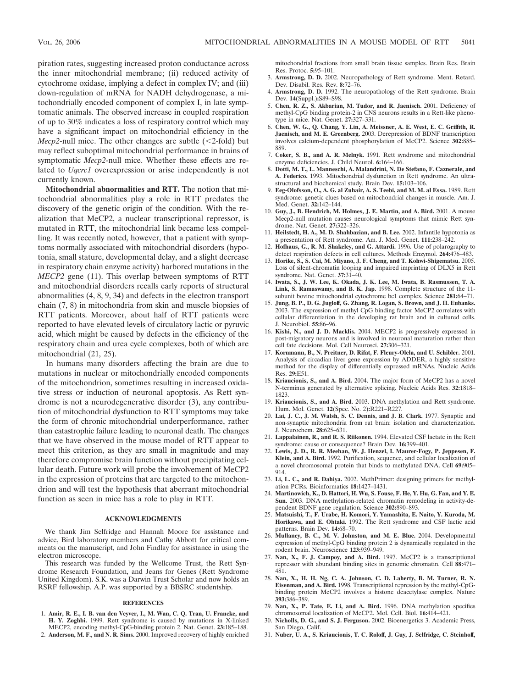piration rates, suggesting increased proton conductance across the inner mitochondrial membrane; (ii) reduced activity of cytochrome oxidase, implying a defect in complex IV; and (iii) down-regulation of mRNA for NADH dehydrogenase, a mitochondrially encoded component of complex I, in late symptomatic animals. The observed increase in coupled respiration of up to 30% indicates a loss of respiratory control which may have a significant impact on mitochondrial efficiency in the *Mecp2*-null mice. The other changes are subtle  $(\leq 2$ -fold) but may reflect suboptimal mitochondrial performance in brains of symptomatic *Mecp2*-null mice. Whether these effects are related to *Uqcrc1* overexpression or arise independently is not currently known.

**Mitochondrial abnormalities and RTT.** The notion that mitochondrial abnormalities play a role in RTT predates the discovery of the genetic origin of the condition. With the realization that MeCP2, a nuclear transcriptional repressor, is mutated in RTT, the mitochondrial link became less compelling. It was recently noted, however, that a patient with symptoms normally associated with mitochondrial disorders (hypotonia, small stature, developmental delay, and a slight decrease in respiratory chain enzyme activity) harbored mutations in the *MECP2* gene (11). This overlap between symptoms of RTT and mitochondrial disorders recalls early reports of structural abnormalities (4, 8, 9, 34) and defects in the electron transport chain (7, 8) in mitochondria from skin and muscle biopsies of RTT patients. Moreover, about half of RTT patients were reported to have elevated levels of circulatory lactic or pyruvic acid, which might be caused by defects in the efficiency of the respiratory chain and urea cycle complexes, both of which are mitochondrial (21, 25).

In humans many disorders affecting the brain are due to mutations in nuclear or mitochondrially encoded components of the mitochondrion, sometimes resulting in increased oxidative stress or induction of neuronal apoptosis. As Rett syndrome is not a neurodegenerative disorder (3), any contribution of mitochondrial dysfunction to RTT symptoms may take the form of chronic mitochondrial underperformance, rather than catastrophic failure leading to neuronal death. The changes that we have observed in the mouse model of RTT appear to meet this criterion, as they are small in magnitude and may therefore compromise brain function without precipitating cellular death. Future work will probe the involvement of MeCP2 in the expression of proteins that are targeted to the mitochondrion and will test the hypothesis that aberrant mitochondrial function as seen in mice has a role to play in RTT.

#### **ACKNOWLEDGMENTS**

We thank Jim Selfridge and Hannah Moore for assistance and advice, Bird laboratory members and Cathy Abbott for critical comments on the manuscript, and John Findlay for assistance in using the electron microscope.

This research was funded by the Wellcome Trust, the Rett Syndrome Research Foundation, and Jeans for Genes (Rett Syndrome United Kingdom). S.K. was a Darwin Trust Scholar and now holds an RSRF fellowship. A.P. was supported by a BBSRC studentship.

#### **REFERENCES**

- 1. **Amir, R. E., I. B. van den Veyver, I., M. Wan, C. Q. Tran, U. Francke, and H. Y. Zoghbi.** 1999. Rett syndrome is caused by mutations in X-linked MECP2, encoding methyl-CpG-binding protein 2. Nat. Genet. **23:**185–188.
- 2. **Anderson, M. F., and N. R. Sims.** 2000. Improved recovery of highly enriched

mitochondrial fractions from small brain tissue samples. Brain Res. Brain Res. Protoc. **5:**95–101.

- 3. **Armstrong, D. D.** 2002. Neuropathology of Rett syndrome. Ment. Retard. Dev. Disabil. Res. Rev. **8:**72–76.
- 4. **Armstrong, D. D.** 1992. The neuropathology of the Rett syndrome. Brain Dev. **14**(Suppl.)**:**S89–S98.
- 5. **Chen, R. Z., S. Akbarian, M. Tudor, and R. Jaenisch.** 2001. Deficiency of methyl-CpG binding protein-2 in CNS neurons results in a Rett-like phenotype in mice. Nat. Genet. **27:**327–331.
- 6. **Chen, W. G., Q. Chang, Y. Lin, A. Meissner, A. E. West, E. C. Griffith, R. Jaenisch, and M. E. Greenberg.** 2003. Derepression of BDNF transcription involves calcium-dependent phosphorylation of MeCP2. Science **302:**885– 889.
- 7. **Coker, S. B., and A. R. Melnyk.** 1991. Rett syndrome and mitochondrial enzyme deficiencies. J. Child Neurol. **6:**164–166.
- 8. **Dotti, M. T., L. Manneschi, A. Malandrini, N. De Stefano, F. Caznerale, and A. Federico.** 1993. Mitochondrial dysfunction in Rett syndrome. An ultrastructural and biochemical study. Brain Dev. **15:**103–106.
- 9. **Eeg-Olofsson, O., A. G. al Zuhair, A. S. Teebi, and M. M. al Essa.** 1989. Rett syndrome: genetic clues based on mitochondrial changes in muscle. Am. J. Med. Genet. **32:**142–144.
- 10. **Guy, J., B. Hendrich, M. Holmes, J. E. Martin, and A. Bird.** 2001. A mouse Mecp2-null mutation causes neurological symptoms that mimic Rett syndrome. Nat. Genet. **27:**322–326.
- 11. **Heilstedt, H. A., M. D. Shahbazian, and B. Lee.** 2002. Infantile hypotonia as a presentation of Rett syndrome. Am. J. Med. Genet. **111:**238–242.
- 12. **Hofhaus, G., R. M. Shakeley, and G. Attardi.** 1996. Use of polarography to detect respiration defects in cell cultures. Methods Enzymol. **264:**476–483.
- 13. **Horike, S., S. Cai, M. Miyano, J. F. Cheng, and T. Kohwi-Shigematsu.** 2005. Loss of silent-chromatin looping and impaired imprinting of DLX5 in Rett syndrome. Nat. Genet. **37:**31–40.
- 14. **Iwata, S., J. W. Lee, K. Okada, J. K. Lee, M. Iwata, B. Rasmussen, T. A. Link, S. Ramaswamy, and B. K. Jap.** 1998. Complete structure of the 11 subunit bovine mitochondrial cytochrome bc1 complex. Science **281:**64–71.
- 15. **Jung, B. P., D. G. Jugloff, G. Zhang, R. Logan, S. Brown, and J. H. Eubanks.** 2003. The expression of methyl CpG binding factor MeCP2 correlates with cellular differentiation in the developing rat brain and in cultured cells. J. Neurobiol. **55:**86–96.
- 16. **Kishi, N., and J. D. Macklis.** 2004. MECP2 is progressively expressed in post-migratory neurons and is involved in neuronal maturation rather than cell fate decisions. Mol. Cell Neurosci. **27:**306–321.
- 17. **Kornmann, B., N. Preitner, D. Rifat, F. Fleury-Olela, and U. Schibler.** 2001. Analysis of circadian liver gene expression by ADDER, a highly sensitive method for the display of differentially expressed mRNAs. Nucleic Acids Res. **29:**E51.
- 18. **Kriaucionis, S., and A. Bird.** 2004. The major form of MeCP2 has a novel N-terminus generated by alternative splicing. Nucleic Acids Res. **32:**1818– 1823.
- 19. **Kriaucionis, S., and A. Bird.** 2003. DNA methylation and Rett syndrome. Hum. Mol. Genet. **12**(Spec. No. 2)**:**R221–R227.
- 20. **Lai, J. C., J. M. Walsh, S. C. Dennis, and J. B. Clark.** 1977. Synaptic and non-synaptic mitochondria from rat brain: isolation and characterization. J. Neurochem. **28:**625–631.
- 21. **Lappalainen, R., and R. S. Riikonen.** 1994. Elevated CSF lactate in the Rett syndrome: cause or consequence? Brain Dev. **16:**399–401.
- 22. **Lewis, J. D., R. R. Meehan, W. J. Henzel, I. Maurer-Fogy, P. Jeppesen, F. Klein, and A. Bird.** 1992. Purification, sequence, and cellular localization of a novel chromosomal protein that binds to methylated DNA. Cell **69:**905– 914.
- 23. **Li, L. C., and R. Dahiya.** 2002. MethPrimer: designing primers for methylation PCRs. Bioinformatics **18:**1427–1431.
- 24. **Martinowich, K., D. Hattori, H. Wu, S. Fouse, F. He, Y. Hu, G. Fan, and Y. E. Sun.** 2003. DNA methylation-related chromatin remodeling in activity-dependent BDNF gene regulation. Science **302:**890–893.
- 25. **Matsuishi, T., F. Urabe, H. Komori, Y. Yamashita, E. Naito, Y. Kuroda, M. Horikawa, and E. Ohtaki.** 1992. The Rett syndrome and CSF lactic acid patterns. Brain Dev. **14:**68–70.
- 26. **Mullaney, B. C., M. V. Johnston, and M. E. Blue.** 2004. Developmental expression of methyl-CpG binding protein 2 is dynamically regulated in the rodent brain. Neuroscience **123:**939–949.
- 27. **Nan, X., F. J. Campoy, and A. Bird.** 1997. MeCP2 is a transcriptional repressor with abundant binding sites in genomic chromatin. Cell **88:**471– 481.
- 28. **Nan, X., H. H. Ng, C. A. Johnson, C. D. Laherty, B. M. Turner, R. N. Eisenman, and A. Bird.** 1998. Transcriptional repression by the methyl-CpGbinding protein MeCP2 involves a histone deacetylase complex. Nature **393:**386–389.
- 29. **Nan, X., P. Tate, E. Li, and A. Bird.** 1996. DNA methylation specifies chromosomal localization of MeCP2. Mol. Cell. Biol. **16:**414–421.
- 30. **Nicholls, D. G., and S. J. Ferguson.** 2002. Bioenergetics 3. Academic Press, San Diego, Calif.
- 31. **Nuber, U. A., S. Kriaucionis, T. C. Roloff, J. Guy, J. Selfridge, C. Steinhoff,**